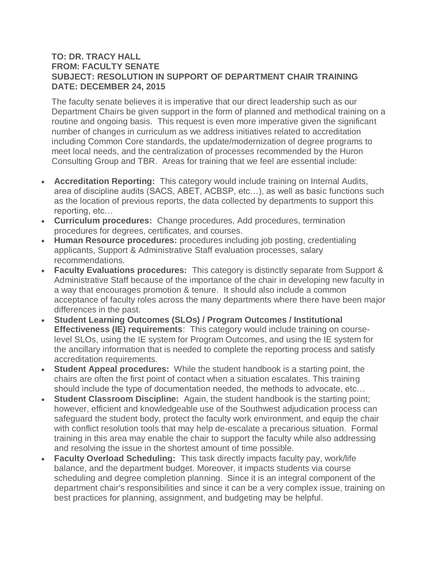## **TO: DR. TRACY HALL FROM: FACULTY SENATE SUBJECT: RESOLUTION IN SUPPORT OF DEPARTMENT CHAIR TRAINING DATE: DECEMBER 24, 2015**

The faculty senate believes it is imperative that our direct leadership such as our Department Chairs be given support in the form of planned and methodical training on a routine and ongoing basis. This request is even more imperative given the significant number of changes in curriculum as we address initiatives related to accreditation including Common Core standards, the update/modernization of degree programs to meet local needs, and the centralization of processes recommended by the Huron Consulting Group and TBR. Areas for training that we feel are essential include:

- **Accreditation Reporting:** This category would include training on Internal Audits, area of discipline audits (SACS, ABET, ACBSP, etc…), as well as basic functions such as the location of previous reports, the data collected by departments to support this reporting, etc…
- **Curriculum procedures:** Change procedures, Add procedures, termination procedures for degrees, certificates, and courses.
- **Human Resource procedures:** procedures including job posting, credentialing applicants, Support & Administrative Staff evaluation processes, salary recommendations.
- **Faculty Evaluations procedures:** This category is distinctly separate from Support & Administrative Staff because of the importance of the chair in developing new faculty in a way that encourages promotion & tenure. It should also include a common acceptance of faculty roles across the many departments where there have been major differences in the past.
- **Student Learning Outcomes (SLOs) / Program Outcomes / Institutional Effectiveness (IE) requirements**: This category would include training on courselevel SLOs, using the IE system for Program Outcomes, and using the IE system for the ancillary information that is needed to complete the reporting process and satisfy accreditation requirements.
- **Student Appeal procedures:** While the student handbook is a starting point, the chairs are often the first point of contact when a situation escalates. This training should include the type of documentation needed, the methods to advocate, etc…
- **Student Classroom Discipline:** Again, the student handbook is the starting point; however, efficient and knowledgeable use of the Southwest adjudication process can safeguard the student body, protect the faculty work environment, and equip the chair with conflict resolution tools that may help de-escalate a precarious situation. Formal training in this area may enable the chair to support the faculty while also addressing and resolving the issue in the shortest amount of time possible.
- **Faculty Overload Scheduling:** This task directly impacts faculty pay, work/life balance, and the department budget. Moreover, it impacts students via course scheduling and degree completion planning. Since it is an integral component of the department chair's responsibilities and since it can be a very complex issue, training on best practices for planning, assignment, and budgeting may be helpful.